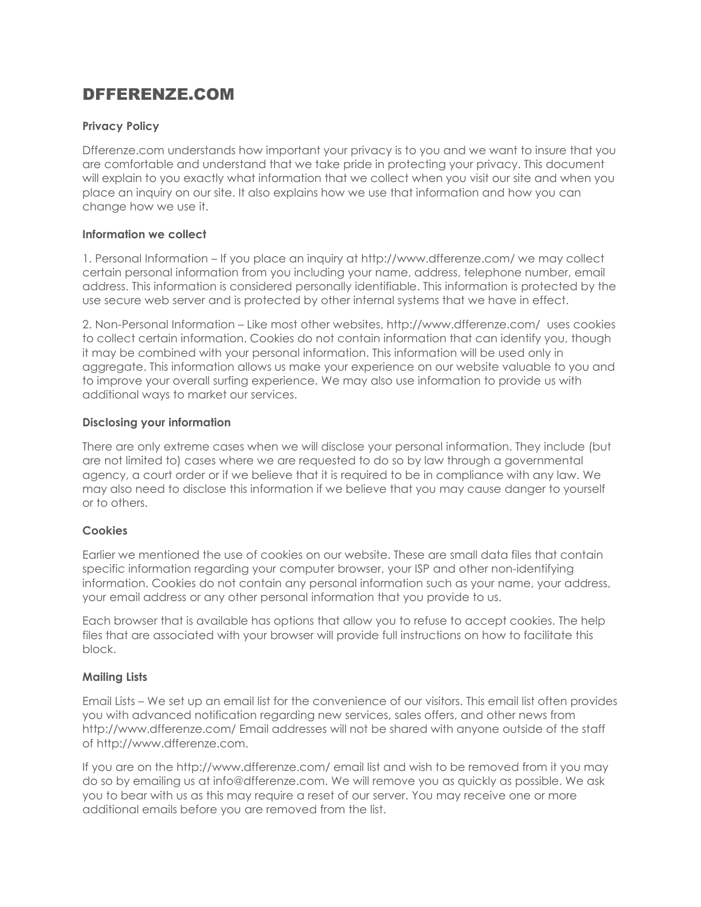# DFFERENZE.COM

# **Privacy Policy**

Dfferenze.com understands how important your privacy is to you and we want to insure that you are comfortable and understand that we take pride in protecting your privacy. This document will explain to you exactly what information that we collect when you visit oursite and when you place an inquiry on our site. It also explains how we use that information and how you can change how we use it.

#### **Information we collect**

1. Personal Information – If you place an inquiry at http://www.dfferenze.com/ we may collect certain personal information from you including your name, address, telephone number, email address. This information is considered personally identifiable. This information is protected by the use secure web server and is protected by other internal systems that we have in effect.

2. Non-Personal Information – Like most other websites, http://www.dfferenze.com/ uses cookies to collect certain information. Cookies do not contain information that can identify you, though it may be combined with your personal information. This information will be used only in aggregate. This information allows us make your experience on our website valuable to you and to improve your overall surfing experience. We may also use information to provide us with additional ways to market our services.

## **Disclosing your information**

There are only extreme cases when we will disclose your personal information. They include (but are not limited to) cases where we are requested to do so by law through a governmental agency, a court order or if we believe that it is required to be in compliance with any law. We may also need to disclose this information if we believe that you may cause danger to yourself or to others.

#### **Cookies**

Earlier we mentioned the use of cookies on our website. These are small data files that contain specific information regarding your computer browser, your ISP and other non-identifying information. Cookies do not contain any personal information such as your name, your address, your email address or any other personal information that you provide to us.

Each browser that is available has options that allow you to refuse to accept cookies. The help files that are associated with your browser will provide full instructions on how to facilitate this block.

# **Mailing Lists**

Email Lists – We set up an email list forthe convenience of our visitors. This email list often provides you with advanced notification regarding new services, sales offers, and other news from http://www.dfferenze.com/ Email addresses will not be shared with anyone outside of the staff of http://www.dfferenze.com.

If you are on the http://www.dfferenze.com/ email list and wish to be removed from it you may do so by emailing us at info@dfferenze.com. We will remove you as quickly as possible. We ask you to bear with us as this may require a reset of our server. You may receive one or more additional emails before you are removed from the list.